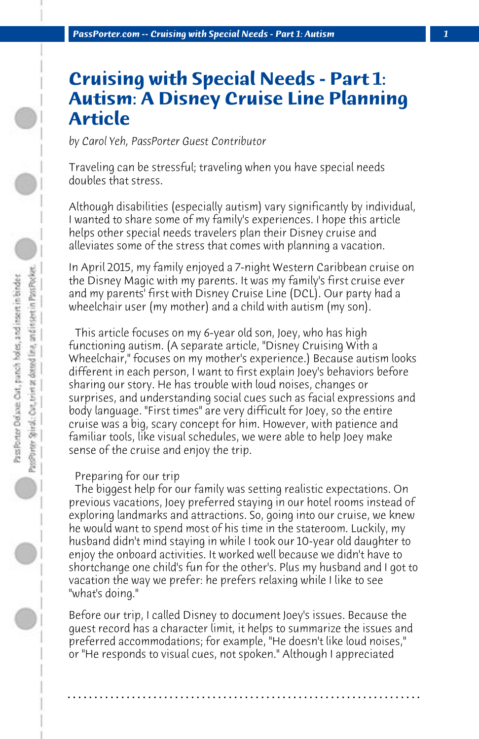# **Cruising with Special Needs - Part 1: Autism: A Disney Cruise Line Planning Article**

*by Carol Yeh, PassPorter Guest Contributor*

Traveling can be stressful; traveling when you have special needs doubles that stress.

Although disabilities (especially autism) vary significantly by individual, I wanted to share some of my family's experiences. I hope this article helps other special needs travelers plan their Disney cruise and alleviates some of the stress that comes with planning a vacation.

In April 2015, my family enjoyed a 7-night Western Caribbean cruise on the Disney Magic with my parents. It was my family's first cruise ever and my parents' first with Disney Cruise Line (DCL). Our party had a wheelchair user (my mother) and a child with autism (my son).

 This article focuses on my 6-year old son, Joey, who has high functioning autism. (A separate article, "Disney Cruising With a Wheelchair," focuses on my mother's experience.) Because autism looks different in each person, I want to first explain Joey's behaviors before sharing our story. He has trouble with loud noises, changes or surprises, and understanding social cues such as facial expressions and body language. "First times" are very difficult for Joey, so the entire cruise was a big, scary concept for him. However, with patience and familiar tools, like visual schedules, we were able to help Joey make sense of the cruise and enjoy the trip.

# Preparing for our trip

 The biggest help for our family was setting realistic expectations. On previous vacations, Joey preferred staying in our hotel rooms instead of exploring landmarks and attractions. So, going into our cruise, we knew he would want to spend most of his time in the stateroom. Luckily, my husband didn't mind staying in while I took our 10-year old daughter to enjoy the onboard activities. It worked well because we didn't have to shortchange one child's fun for the other's. Plus my husband and I got to vacation the way we prefer: he prefers relaxing while I like to see "what's doing."

Before our trip, I called Disney to document Joey's issues. Because the guest record has a character limit, it helps to summarize the issues and preferred accommodations; for example, "He doesn't like loud noises," or "He responds to visual cues, not spoken." Although I appreciated

**. . . . . . . . . . . . . . . . . . . . . . . . . . . . . . . . . . . . . . . . . . . . . . . . . . . . . . . . . . . . . . . . . .**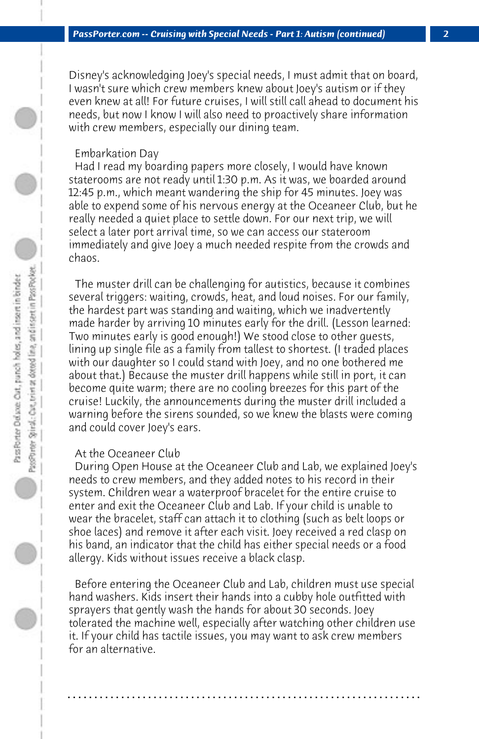Disney's acknowledging Joey's special needs, I must admit that on board, I wasn't sure which crew members knew about Joey's autism or if they even knew at all! For future cruises, I will still call ahead to document his needs, but now I know I will also need to proactively share information with crew members, especially our dining team.

### Embarkation Day

 Had I read my boarding papers more closely, I would have known staterooms are not ready until 1:30 p.m. As it was, we boarded around 12:45 p.m., which meant wandering the ship for 45 minutes. Joey was able to expend some of his nervous energy at the Oceaneer Club, but he really needed a quiet place to settle down. For our next trip, we will select a later port arrival time, so we can access our stateroom immediately and give Joey a much needed respite from the crowds and chaos.

 The muster drill can be challenging for autistics, because it combines several triggers: waiting, crowds, heat, and loud noises. For our family, the hardest part was standing and waiting, which we inadvertently made harder by arriving 10 minutes early for the drill. (Lesson learned: Two minutes early is good enough!) We stood close to other guests, lining up single file as a family from tallest to shortest. (I traded places with our daughter so I could stand with Joey, and no one bothered me about that.) Because the muster drill happens while still in port, it can become quite warm; there are no cooling breezes for this part of the cruise! Luckily, the announcements during the muster drill included a warning before the sirens sounded, so we knew the blasts were coming and could cover Joey's ears.

## At the Oceaneer Club

 During Open House at the Oceaneer Club and Lab, we explained Joey's needs to crew members, and they added notes to his record in their system. Children wear a waterproof bracelet for the entire cruise to enter and exit the Oceaneer Club and Lab. If your child is unable to wear the bracelet, staff can attach it to clothing (such as belt loops or shoe laces) and remove it after each visit. Joey received a red clasp on his band, an indicator that the child has either special needs or a food allergy. Kids without issues receive a black clasp.

 Before entering the Oceaneer Club and Lab, children must use special hand washers. Kids insert their hands into a cubby hole outfitted with sprayers that gently wash the hands for about 30 seconds. Joey tolerated the machine well, especially after watching other children use it. If your child has tactile issues, you may want to ask crew members for an alternative.

**. . . . . . . . . . . . . . . . . . . . . . . . . . . . . . . . . . . . . . . . . . . . . . . . . . . . . . . . . . . . . . . . . .**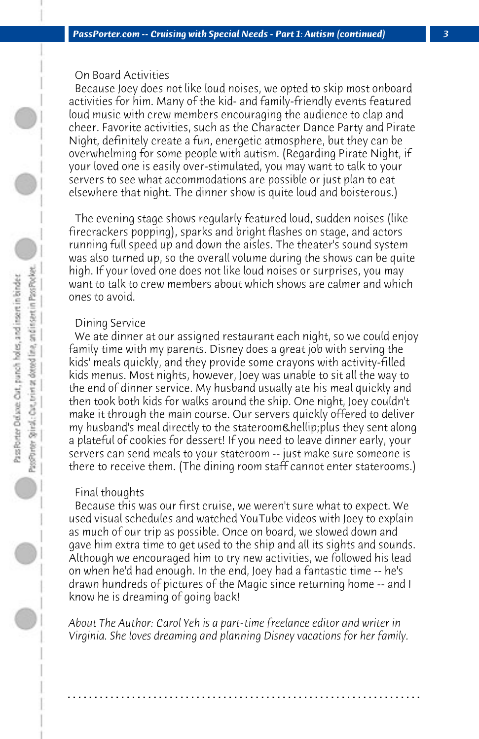## On Board Activities

 Because Joey does not like loud noises, we opted to skip most onboard activities for him. Many of the kid- and family-friendly events featured loud music with crew members encouraging the audience to clap and cheer. Favorite activities, such as the Character Dance Party and Pirate Night, definitely create a fun, energetic atmosphere, but they can be overwhelming for some people with autism. (Regarding Pirate Night, if your loved one is easily over-stimulated, you may want to talk to your servers to see what accommodations are possible or just plan to eat elsewhere that night. The dinner show is quite loud and boisterous.)

 The evening stage shows regularly featured loud, sudden noises (like firecrackers popping), sparks and bright flashes on stage, and actors running full speed up and down the aisles. The theater's sound system was also turned up, so the overall volume during the shows can be quite high. If your loved one does not like loud noises or surprises, you may want to talk to crew members about which shows are calmer and which ones to avoid.

#### Dining Service

We ate dinner at our assigned restaurant each night, so we could enjoy family time with my parents. Disney does a great job with serving the kids' meals quickly, and they provide some crayons with activity-filled kids menus. Most nights, however, Joey was unable to sit all the way to the end of dinner service. My husband usually ate his meal quickly and then took both kids for walks around the ship. One night, Joey couldn't make it through the main course. Our servers quickly offered to deliver my husband's meal directly to the stateroom… plus they sent along a plateful of cookies for dessert! If you need to leave dinner early, your servers can send meals to your stateroom -- just make sure someone is there to receive them. (The dining room staff cannot enter staterooms.)

#### Final thoughts

 Because this was our first cruise, we weren't sure what to expect. We used visual schedules and watched YouTube videos with Joey to explain as much of our trip as possible. Once on board, we slowed down and gave him extra time to get used to the ship and all its sights and sounds. Although we encouraged him to try new activities, we followed his lead on when he'd had enough. In the end, Joey had a fantastic time -- he's drawn hundreds of pictures of the Magic since returning home -- and I know he is dreaming of going back!

*About The Author: Carol Yeh is a part-time freelance editor and writer in Virginia. She loves dreaming and planning Disney vacations for her family.*

**. . . . . . . . . . . . . . . . . . . . . . . . . . . . . . . . . . . . . . . . . . . . . . . . . . . . . . . . . . . . . . . . . .**